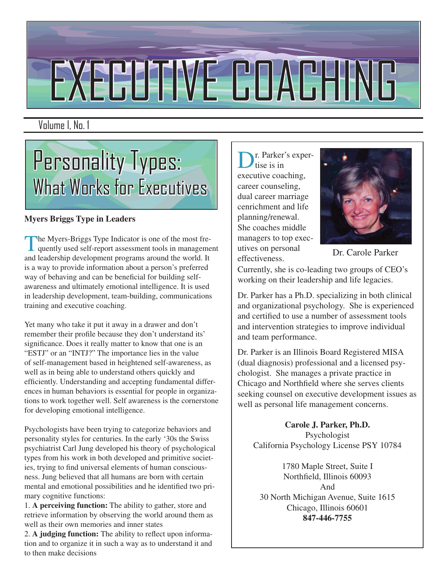# EXECUTIVE COACHING

Volume I, No. 1



#### **Myers Briggs Type in Leaders**

The Myers-Briggs Type Indicator is one of the most frequently used self-report assessment tools in management<br>and loodership development programs around the world. It and leadership development programs around the world. It is a way to provide information about a person's preferred way of behaving and can be beneficial for building selfawareness and ultimately emotional intelligence. It is used in leadership development, team-building, communications training and executive coaching.

Yet many who take it put it away in a drawer and don't remember their profile because they don't understand its' significance. Does it really matter to know that one is an "ESTJ" or an "INTJ?" The importance lies in the value of self-management based in heightened self-awareness, as well as in being able to understand others quickly and efficiently. Understanding and accepting fundamental differences in human behaviors is essential for people in organizations to work together well. Self awareness is the cornerstone for developing emotional intelligence.

Psychologists have been trying to categorize behaviors and personality styles for centuries. In the early '30s the Swiss psychiatrist Carl Jung developed his theory of psychological types from his work in both developed and primitive societies, trying to find universal elements of human consciousness. Jung believed that all humans are born with certain mental and emotional possibilities and he identified two primary cognitive functions:

1. **A perceiving function:** The ability to gather, store and retrieve information by observing the world around them as well as their own memories and inner states

2. **A judging function:** The ability to reflect upon information and to organize it in such a way as to understand it and to then make decisions

r. Parker's expertise is in executive coaching, career counseling, dual career marriage cenrichment and life planning/renewal. She coaches middle managers to top executives on personal effectiveness. Dr. Carole Parker



Currently, she is co-leading two groups of CEO's working on their leadership and life legacies.

Dr. Parker has a Ph.D. specializing in both clinical and organizational psychology. She is experienced and certified to use a number of assessment tools and intervention strategies to improve individual and team performance.

Dr. Parker is an Illinois Board Registered MISA (dual diagnosis) professional and a licensed psychologist. She manages a private practice in Chicago and Northfield where she serves clients seeking counsel on executive development issues as well as personal life management concerns.

**Carole J. Parker, Ph.D.** Psychologist California Psychology License PSY 10784

1780 Maple Street, Suite I Northfield, Illinois 60093 And 30 North Michigan Avenue, Suite 1615 Chicago, Illinois 60601 **847-446-7755**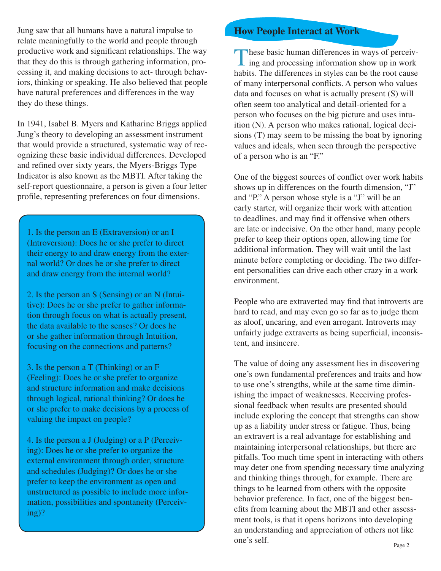Jung saw that all humans have a natural impulse to relate meaningfully to the world and people through productive work and significant relationships. The way that they do this is through gathering information, processing it, and making decisions to act- through behaviors, thinking or speaking. He also believed that people have natural preferences and differences in the way they do these things.

In 1941, Isabel B. Myers and Katharine Briggs applied Jung's theory to developing an assessment instrument that would provide a structured, systematic way of recognizing these basic individual differences. Developed and refined over sixty years, the Myers-Briggs Type Indicator is also known as the MBTI. After taking the self-report questionnaire, a person is given a four letter profile, representing preferences on four dimensions.

1. Is the person an E (Extraversion) or an I (Introversion): Does he or she prefer to direct their energy to and draw energy from the external world? Or does he or she prefer to direct and draw energy from the internal world?

2. Is the person an S (Sensing) or an N (Intuitive): Does he or she prefer to gather information through focus on what is actually present, the data available to the senses? Or does he or she gather information through Intuition, focusing on the connections and patterns?

3. Is the person a T (Thinking) or an F (Feeling): Does he or she prefer to organize and structure information and make decisions through logical, rational thinking? Or does he or she prefer to make decisions by a process of valuing the impact on people?

4. Is the person a J (Judging) or a P (Perceiving): Does he or she prefer to organize the external environment through order, structure and schedules (Judging)? Or does he or she prefer to keep the environment as open and unstructured as possible to include more information, possibilities and spontaneity (Perceiving)?

#### **How People Interact at Work**

These basic human differences in ways of perceiving and processing information show up in work<br>hebits. The differences in styles can be the rest severe habits. The differences in styles can be the root cause of many interpersonal conflicts. A person who values data and focuses on what is actually present (S) will often seem too analytical and detail-oriented for a person who focuses on the big picture and uses intuition (N). A person who makes rational, logical decisions (T) may seem to be missing the boat by ignoring values and ideals, when seen through the perspective of a person who is an "F."

One of the biggest sources of conflict over work habits shows up in differences on the fourth dimension, "J" and "P." A person whose style is a "J" will be an early starter, will organize their work with attention to deadlines, and may find it offensive when others are late or indecisive. On the other hand, many people prefer to keep their options open, allowing time for additional information. They will wait until the last minute before completing or deciding. The two different personalities can drive each other crazy in a work environment.

People who are extraverted may find that introverts are hard to read, and may even go so far as to judge them as aloof, uncaring, and even arrogant. Introverts may unfairly judge extraverts as being superficial, inconsistent, and insincere.

The value of doing any assessment lies in discovering one's own fundamental preferences and traits and how to use one's strengths, while at the same time diminishing the impact of weaknesses. Receiving professional feedback when results are presented should include exploring the concept that strengths can show up as a liability under stress or fatigue. Thus, being an extravert is a real advantage for establishing and maintaining interpersonal relationships, but there are pitfalls. Too much time spent in interacting with others may deter one from spending necessary time analyzing and thinking things through, for example. There are things to be learned from others with the opposite behavior preference. In fact, one of the biggest benefits from learning about the MBTI and other assessment tools, is that it opens horizons into developing an understanding and appreciation of others not like one's self.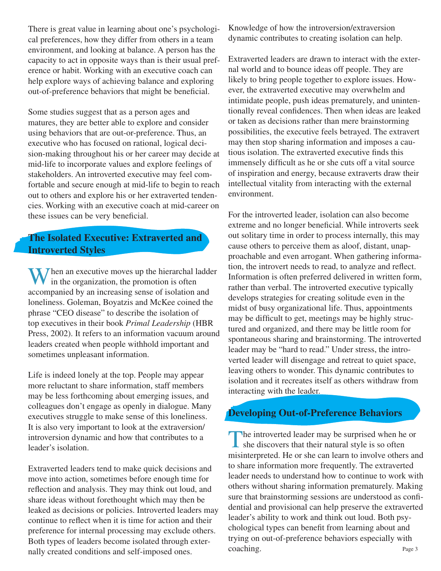There is great value in learning about one's psychological preferences, how they differ from others in a team environment, and looking at balance. A person has the capacity to act in opposite ways than is their usual preference or habit. Working with an executive coach can help explore ways of achieving balance and exploring out-of-preference behaviors that might be beneficial.

Some studies suggest that as a person ages and matures, they are better able to explore and consider using behaviors that are out-or-preference. Thus, an executive who has focused on rational, logical decision-making throughout his or her career may decide at mid-life to incorporate values and explore feelings of stakeholders. An introverted executive may feel comfortable and secure enough at mid-life to begin to reach out to others and explore his or her extraverted tendencies. Working with an executive coach at mid-career on these issues can be very beneficial.

### **The Isolated Executive: Extraverted and Introverted Styles**

**When an executive moves up the hierarchal ladder** in the organization, the promotion is often accompanied by an increasing sense of isolation and loneliness. Goleman, Boyatzis and McKee coined the phrase "CEO disease" to describe the isolation of top executives in their book *Primal Leadership* (HBR Press, 2002). It refers to an information vacuum around leaders created when people withhold important and sometimes unpleasant information.

Life is indeed lonely at the top. People may appear more reluctant to share information, staff members may be less forthcoming about emerging issues, and colleagues don't engage as openly in dialogue. Many executives struggle to make sense of this loneliness. It is also very important to look at the extraversion/ introversion dynamic and how that contributes to a leader's isolation.

Extraverted leaders tend to make quick decisions and move into action, sometimes before enough time for reflection and analysis. They may think out loud, and share ideas without forethought which may then be leaked as decisions or policies. Introverted leaders may continue to reflect when it is time for action and their preference for internal processing may exclude others. Both types of leaders become isolated through externally created conditions and self-imposed ones.

Knowledge of how the introversion/extraversion dynamic contributes to creating isolation can help.

Extraverted leaders are drawn to interact with the external world and to bounce ideas off people. They are likely to bring people together to explore issues. However, the extraverted executive may overwhelm and intimidate people, push ideas prematurely, and unintentionally reveal confidences. Then when ideas are leaked or taken as decisions rather than mere brainstorming possibilities, the executive feels betrayed. The extravert may then stop sharing information and imposes a cautious isolation. The extraverted executive finds this immensely difficult as he or she cuts off a vital source of inspiration and energy, because extraverts draw their intellectual vitality from interacting with the external environment.

For the introverted leader, isolation can also become extreme and no longer beneficial. While introverts seek out solitary time in order to process internally, this may cause others to perceive them as aloof, distant, unapproachable and even arrogant. When gathering information, the introvert needs to read, to analyze and reflect. Information is often preferred delivered in written form, rather than verbal. The introverted executive typically develops strategies for creating solitude even in the midst of busy organizational life. Thus, appointments may be difficult to get, meetings may be highly structured and organized, and there may be little room for spontaneous sharing and brainstorming. The introverted leader may be "hard to read." Under stress, the introverted leader will disengage and retreat to quiet space, leaving others to wonder. This dynamic contributes to isolation and it recreates itself as others withdraw from interacting with the leader.

## **Developing Out-of-Preference Behaviors**

The introverted leader may be surprised when he or she discovers that their natural style is so often minimizated. He or she can learn to involve others an misinterpreted. He or she can learn to involve others and to share information more frequently. The extraverted leader needs to understand how to continue to work with others without sharing information prematurely. Making sure that brainstorming sessions are understood as confidential and provisional can help preserve the extraverted leader's ability to work and think out loud. Both psychological types can benefit from learning about and trying on out-of-preference behaviors especially with coaching. Page 3